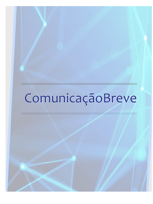# ComunicaçãoBreve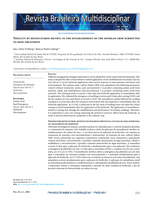## Revista Brasileira Multidisciplinar

ISSN 1415-8580 -isn 2527-2

http://revistarebram.com/index.php/revistauniara

#### **Toxicity by metsulfuron-methyl in the establishment of the soybean crop submitted to seed treatment**

Joice Aline Freiberg\*; Marcos Paulo Ludwig\*\*

*\* Universidade Federal de Santa Maria (UFSM), Programa de Pós-graduação em Ciência do Solo. Avenida Roraima, 1000, 97105900, Santa Maria, Rio Grande do Sul, Brasil.* 

*\*\* Instituto Federal de Educação, Ciência e Tecnologia do Rio Grande do Sul - Campus Ibirubá. Rua Nelsi Ribas Fritsch, 1111, 98200-000, Ibirubá, Rio Grande do Sul, Brasil.* 

*\*Autor para correspondência e-mail: joice.freiberg@hotmail.com; jaf.freiberg@gmail.com*

#### **Palavras-chave** Aminoácido Emergêcia de Plântulas *Glycine max Merril. L* Herbicida Micronutriente **Keywords** Amino Acid Seed Emergence *Glycine Max Merril. L* Herbicide Micronutrient **Resumo** Different management strategies and products can be adopted for weed control and seed treatment. This study evaluated the effect of metsulfuron-methyl application on the establishment of soybean (*Glycine max Merril. L*) at two herbicide application times and in response to micronutrient and amino acid seed treatment. The soybean seeds, cultivar Nidera 5909, were submitted to the following treatments: control (without treatment); amino acid; micronutrient 1 (a product containing amino acids from seaweed, cobalt, and molybdenum) and micronutrient 2 (a product containing amino acids from seaweed). The sowing periods occurred 15 days after the herbicide application or immediately after its application. We evaluated the emergence of seedlings at seven and 14 days after sowing (DAS), and the dry matters of roots and shoots at 14 and 21 DAS. The metsulfuron-methyl affected the seedling emergence at seven days after the sowing in seed treated with micronutrient 1 immediately after the herbicide application. At 21 DAS, a reduction in the dry mass of seedling roots was observed, which sowing occurred immediately after the application of the herbicide. The application of metsulfuronmethyl at sowing may damage the establishment and performance of soybean seedlings. Therefore, it is important to carry out sowing respecting the period of carryover effects from the herbicide, in order to prevent phytotoxicity symptoms to the soybean crop.

#### **Toxidez por metsulfurom-metílico no estabelecimento da cultura da soja submetida ao tratamento de sementes**

Diferentes estratégias de manejo e produtos podem ser utilizadas para o controle de plantas daninhas e o tratamento de sementes. Este trabalho avaliou o efeito da aplicação de metsulfurom-metílico no estabelecimento da cultura da soja (*--*), em duas épocas de aplicação do herbicida e em resposta ao tratamento de sementes com micronutrientes e aminoácidos. As sementes de soja, cultivar Nidera 5909, foram submetidas aos seguintes tratamentos: testemunha (sem tratamento); aminoácido (Amino Seed Raiz); micronutriente 1 (produto contendo aminoácidos de algas marinhas, cobalto e molibdênio) e micronutriente 2 (produto contendo aminoácidos de algas marinhas). A semeadura ocorreu 15 dias após a aplicação do herbicida e imediatamente após a sua aplicação. Nós avaliamos a emergência de plântulas aos sete e 14 dias após a semeadura (DAS); e a matéria seca de raiz e parte aérea, aos 14 e aos 21 DAS. O metsulfurom-metílico afetou a emergência das plântulas aos sete dias após a semeadura em sementes tratadas com micronutriente 1 e semeadas imediatamente após a aplicação do herbicida. Aos 21 DAS, observou-se redução na massa seca de raízes das plântulas, cuja semeadura ocorreu imediatamente após a aplicação do herbicida. A aplicação de metsulfuron-metil na semeadura pode prejudicar o estabelecimento e o desempenho de plântulas de soja. Nesse sentido, é importante realizar a semeadura respeitando o período do efeito residual do herbicida, a fim de prevenir sintomas de fitotoxicidade na cultura da soja.

**Recebido em:**14/09/2020 **Aprovação final em:** 05/11/2020 **DOI:** https://doi.org/**10.25061/2527-2675/ReBraM/2021.v24i1.1043**

Vol. 24, N.1, 2021 **Revista Brasileira Multidisciplinar** - ReBraM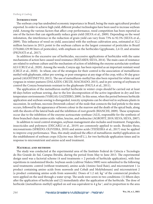#### **INTRODUCTION**

The soybean crop has undoubted economic importance in Brazil, being the main agricultural product exported. In order to achieve high yield, different product technologies have been used to increase soybean yield. Among the various factors that affect crop performance, weed competition has been reported as one of the factors that can significantly reduce grain yield (SILVA et al., 2009). Depending on the weed infestation, the interference in the reduction of grain yield can vary from 73% to 92.5% (SILVA et al., 2009). This influence of weed on yield, associated with the soybean cultivation area, estimated at 32,2 million hectares in 2015; point to the soybean culture as the largest consumer of pesticides in Brazil (570,060,129.90 liters of pesticides), with emphasis on the herbicides Ggyphosate, 2,4-D, and atrazine (PIGNATI et al., 2017).

In addition to the excessive use of herbicides, successive applications of herbicides with the same mechanisms of action have caused weed resistance (RIZZARDI; SILVA, 2014). The main cases of resistance are related to soybean culture and the mechanism of action of inhibiting the enzyme acetolactate synthase ALS (CRUZ et al., 2020). Among the weeds, Conyza spp. has been reported as an important resistant weed (CRUZ et al., 2020). In wheat, one of the strategies for their control is the association of metsulfuronmethyl with glyphosate, either pre-sowing, or post-emergence at any stage of the crop, with a 30-day grace period (AGOSTINETTO, 2015). The use of metsulfuron-methyl has also been reported for white oat and ryegrass in winter pastures (DALAZEN; CRUZE; MACHADO, 2015), and in pre-sowing of soybeans to control the Conyza bonariensis resistant to the glyphosate (PAULA et al., 2011).

The application of the metsulfuron-methyl herbicide in winter crops should be carried out at least 60 days before soybean sowing, due to the low decomposition of the active ingredient in dry and lowtemperature environments (VARGAS; GAZZIERO, 2009). In this sense, when the period between herbicide application and soybean sowing is disregarded, toxicity symptoms can be observed in soybeans plants in succession. In soybean, necrosis (brownish colour) of the node that connects the leaf petiole to the stem occurs, followed by the appearance of brown colour in the marrow and the death of the apical buds, along with the shoots of the lateral buds and the inhibition of root growth (BIANCHI, 2009). These symptoms occur due to the inhibition of the enzyme acetoacetate synthase (ALS), responsible for the synthesis of three branched-chain amino acids: valine, leucine, and isoleucine (AGROFIT, 2019; SILVA; SILVA, 2007).

In addition to weed control strategies, soybean management also includes seed treatment. Fungicides, insecticides and polymers (DECARLI et al., 2019) are commonly applied to seeds. Besides these, micronutrients (SFREDO; OLIVEIRA, 2010) and amino acids (TEIXEIRA et al., 2017) may be applied to improve crop performance. Thus, this study analyzed the effect of metsulfuron-methyl application on the establishment of soybean crops (*Glycine max Merrill L*.), for two herbicide application times and in response to micronutrient and amino acid seed treatment.

#### **Material and methods**

The study was conducted at the experimental area of the Instituto Federal de Ciência e Tecnologia do Rio Grande do Sul, Campus Ibirubá, during the period from May to June 2013. The experimental design used was a factorial scheme (4 seed treatments  $\times$  2 periods of herbicide application), with four repetitions in randomized blocks. Soybean seeds (cultivar Nidera 5909) were submitted to the following seed treatments: control (without treatment), amino acids (Amino Seed Raiz), and micronutrient 1 (a product containing amino acids from seaweeds and Cobalt and Molybdenum) and micronutrient 2 (a product containing amino acids from seaweeds). Doses of 1.2 mL kg-1 of the commercial products were applied on the seed through a water syrup. The seeds were sown in two conditions: (1) fifteen days after the application of herbicide and (2) immediately after the application of the herbicide. The dose of herbicide (metsulfuron-methyl) applied on soil was equivalent to 4 g ha<sup>-1</sup>, and in proportion to the area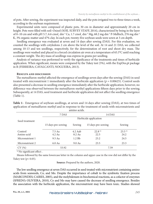of pots. After sowing, the experiment was inspected daily, and the pots irrigated two to three times a week, according to the soybean requirement.

Experimental units were composed of plastic pots, 30 cm in diameter and approximately 20 cm in height. Pots were filled with soil–Oxisol (SOIL SURVEY STAFF, 2014), characterized by being in the layer of 0–10 cm and with pH 5.7, 6.6 cmol<sub>c</sub> dm<sup>-3</sup> Ca, 1.7 cmol<sub>c</sub> dm<sup>-3</sup> Mg, 68.2 mg dm<sup>-3</sup> P-Melhich, 276 mg dm<sup>-3</sup> K, 3% organic matter and 47% clay. In each pot, twenty-five soybean seeds were sown at 3 cm depth.

Seedling emergence was evaluated at seven and 14 days after sowing (DAS). For this evaluation, we counted the seedlings with cotyledons 2 cm above the level of the soil. At 14 and 21 DAS, we collected among 10-13 and ten seedlings, respectively, for the determination of root and shoot dry mass. The seedlings were washed and placed in a forced circulation air oven at a temperature of 65.5°C until reaching a constant weight. The dry mass of seedlings was express in grams per seedling.

Analysis of variance was performed to verify the significance of the treatments and times of herbicide application. When significant, means were compared by the Tukey test (5%), with the ExpDes.pt package in R (FERREIRA; CAVALCANTI; NOGUEIRA, 2013).

#### **Results and discussion**

The metsulfuron-methyl affected the emergence of seedlings seven days after the sowing (DAS) in seed treated with micronutrient 1 immediately after the herbicide application ( $p = 0.00625$ ). Control seeds also presented a decrease in seedling emergence immediately after the herbicide application; however, no difference was observed between the metsulfuron-methyl applications fifteen days prior to the sowing. Subsequently, at 14 DAS, seed treatment and herbicide application did not affect the seedling emergence (Table 1).

| amino acids.          |                       |                     |                              |                              |  |  |  |
|-----------------------|-----------------------|---------------------|------------------------------|------------------------------|--|--|--|
|                       | 7 DAS                 |                     | 14 DAS                       |                              |  |  |  |
| Seed treatment        | Herbicide application |                     |                              |                              |  |  |  |
|                       | 15 days pre-sowing    | Sowing              | 15 days pre-sowing           | Sowing                       |  |  |  |
| Control<br>Amino acid | 7.5 Aa<br>$4.2$ Aa    | $4.2$ Aab<br>8.2 Aa | $22.8$ <sup>ns</sup><br>22.5 | $23.5$ <sup>ns</sup><br>24.2 |  |  |  |
| Micronutrient 1       | $9.5$ Aa              | $1.2$ Bb            | 23.2                         | 24.5                         |  |  |  |
| Micronutrient 2       | $6.0$ Aa              | $9.0$ Aa            | 23.5                         | 23.3                         |  |  |  |
| CV(%)                 | 53.92                 |                     | 7.59                         |                              |  |  |  |

**Table 1-** Emergence of soybean seedlings, at seven and 14 days after sowing (DAS), at two times of application of metsulfuron-methyl and in response to the treatment of seeds with micronutrients and

ns No significant effect .

Means followed by the same lowercase letter in the column and upper case in the row did not differ by the Tukey test (*p*< 0.05).

**Source:** Prepared by the authors, 2020.

The low seedling emergence at seven DAS occurred in seed treated with micronutrient containing amino acids from seaweeds, Co, and Mo. Despite the importance of cobalt to the symbiotic fixation process (MARCONDES; CAIRES, 2005), and the molybdenum in biochemical reactions, as a cofactor of enzymes (SFREDO; OLIVEIRA, 2010), Co and Mo may have caused the decrease of seedling emergence. Besides the association with the herbicide application, the micronutrient may have been toxic. Studies showed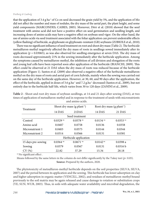#### *Freiberg & Ludwig*

that the application of 3.4 g ha-1 of Co on seed decreased the grain yield by 5%, and the application of Mo did not affect the number and mass of nodules, the dry mass of the aerial part, the plant height, and some yield components (MARCONDES; CAIRES, 2005). Moreover, Dörr et al. (2018) showed that the seed treatment with amino acid did not have a positive effect on seed germination and seedling length, and increasing doses of amino acids may have a negative effect on soybean seed vigor. On the other hand, the use of amino acids via seed treatment associated with the foliar application can prevent undesirable effects (yellow flashing) of herbicide, as glyphosate on glyphosate-resistant (GR) soybeans (ZOBIOLE et al., 2010).

There was no significant influence of seed treatment on root and shoot dry mass (Table 2). The herbicide metsulfuron-methyl negatively affected the dry mass of roots in seedlings sowed immediately after its application ( $p = 0.03065$ ), as was also observed for seedling emergence at seven DAS. The dry mass of roots decreased approximately 21% in the sowing immediately after the herbicide application. Among the symptoms caused by metsulfuron-methyl, the inhibition of cell division and elongation of the roots and young leaf cells have been reported soon after application of the herbicide (BIANCHI, 2009). This effect could be observed at 21 DAS when the dry mass of roots was reduced because of the herbicide application (Figure 1). Santos et al. (2009) also observed a negative effect of the herbicide metsulfuronmethyl on the dry mass of roots and aerial part of corn hybrids, mainly when the sowing was carried out on the same day of the herbicide application. However, at 30, 60, and 90 days after the application, the effect of the herbicide, applied in doses of 3.6 g.ha<sup>-1</sup> and 7.2 g.ha<sup>-1</sup> decreased (Santos et al., 2009), but not entirely due to the herbicide half-life, which varies from 30 to 120 days (ZANINI et al., 2009).

|                       | Shoot dry mass $(g$ plant <sup>-1</sup> ) |                        |                        | Root dry mass $(g$ plant <sup>-1</sup> ) |  |  |  |  |
|-----------------------|-------------------------------------------|------------------------|------------------------|------------------------------------------|--|--|--|--|
| Treatment             | 14 DAS                                    | 21DAS                  | 14 DAS                 | 21 DAS                                   |  |  |  |  |
| Seed treatment        |                                           |                        |                        |                                          |  |  |  |  |
| Control               | $0.0329$ <sup>ns</sup>                    | $0.0578$ <sup>ns</sup> | $0.0134$ <sup>ns</sup> | $0.0353$ <sup>ns</sup>                   |  |  |  |  |
| Amino acid            | 0.0407                                    | 0.0758                 | 0.0136                 | 0.0358                                   |  |  |  |  |
| Micronutrient 1       | 0.0403                                    | 0.0575                 | 0.0144                 | 0.0344                                   |  |  |  |  |
| Micronutrient 2       | 0.0314                                    | 0.0566                 | 0.0131                 | 0.0381                                   |  |  |  |  |
| Herbicide application |                                           |                        |                        |                                          |  |  |  |  |
| 15 days pre-sowing    | $0.0364$ <sup>ns</sup>                    | $0.0671$ <sup>ns</sup> | $0.0142^{ns}$          | 0.0398a                                  |  |  |  |  |
| Sowing                | 0.0379                                    | 0.0567                 | 0.0131                 | 0.0316 b                                 |  |  |  |  |
| CV(%)                 | 22.82                                     | 37.29                  | 15.34                  | 28.18                                    |  |  |  |  |

**Table 2 -** Shoot and root dry mass of soybean seedlings, at 14 and 21 days after sowing (DAS), at two times of application of metsulfuron-methyl and in response to the treatment of seeds with micronutrients and amino acids.

ns No significant effect.

Means followed by the same letters in the column do not differ significantly by the Tukey test ( $p$ < 0.05). **Source:** Prepared by the authors, 2020.

The phytotoxicity of metsulfuron-methyl herbicide depends on the soil properties (SILVA; SILVA, 2007) and the period between its application and the sowing. This herbicide has lower adsorption on clay and higher adsorption in organic matter (VENCILL, 2002), and residues of metsulfuron-methyl bound previously to the soil matrix may be again released and cause damage to rotation or substitution crops (YE; SUN; WUB, 2003). Thus, in soils with adequate water availability and microbial degradation, the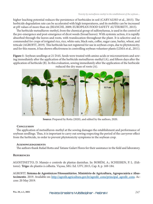higher leaching potential reduces the persistence of herbicides in soil (CARVALHO et al., 2015). The herbicide degradation rate can be accelerated with high temperatures, and its mobility can be increased at pH values of more than six (BIANCHI, 2009; EUROPEAN FOOD SAFETY AUTHORITY, 2015).

The herbicide metsulfuron-methyl, from the chemical group of sulfonylureas, is used in the control of the pre-emergence and post-emergence of dicot weeds (broad leaves). With systemic action, it is rapidly absorbed through the leaves and roots, with translocation throughout the plant. It is selective and recommended for crops of irrigated rice, rice, white oats, black oats, coffee, sugar cane, barley, wheat, and triticale (AGROFIT, 2019). This herbicide has not registered for use in soybean crops, due to phytotoxicity; and for this reason, it has shown effectiveness in controlling soybean volunteer plants (LIMA et al., 2011).

**Figure 1-** Soybean seedlings at 21 DAS. Seeds were treated with amino acids or micronutrients and sowing immediately after the application of the herbicide metsulfuron-methyl (A), and fifteen days after the application of herbicide (B). In this evaluation, sowing immediately after the application of the herbicide reduced the dry mass of roots (A).



 **Source:** Prepared by Rotta (2020), and edited by the authors, 2020.

### **Conclusion**

The application of metsulfuron-methyl at the sowing damages the establishment and performance of soybean seedlings. Thus, it is important to carry out sowing respecting the period of the carryover effect from the herbicide, in order to prevent phytotoxicity symptoms in the soybean crop.

#### **Acknowledgements**

The authors thank Rafael Rotta and Tatiane Gulart Flores for their assistance in the field and laboratory.

### **References**

AGOSTINETTO, D. Manejo e controle de plantas daninhas. In: BORÉM, A.; SCHEEREN, P. L. (Editores). **Trigo:** do plantio à colheita. Viçosa, MG: Ed. UFV, 2015, Cap. 8, p. 169-184.

AGROFIT. **Sistema de Agrotóxicos Fitossanitários. Ministério de Agricultura, Agropecuária e Abastecimento**. 2019. Available on: http://agrofit.agricultura.gov.br/agrofit\_cons/principal\_agrofit\_cons. Access: 20 May 2019.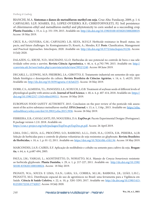#### *Freiberg & Ludwig*

BIANCHI, M.A. **Sintomas e danos de metsulfuron-methyl em soja**. Cruz Alta: Fundacep, 2009, p. 1-4. CARVALHO, S.J.P; SOARES, D.J.; LOPEZ-OVEJERO, R.F.; CHRISTOFFOLETI, P.J. Soil persistence of chlorimuron-ethyl and metsulfuron-methyl and phytotoxicity to corn seeded as a succeeding crop. **Planta Daninha**, v. 33, n. 2, p. 331-339, 2015. Available on: http://dx.doi.org/10.1590/0100-83582015000200019. Access: 18 May 2019.

CRUZ, R.A.; OLIVEIRA, G.M.; CARVALHO, L.B.; SILVA, M.F.G.F. Herbicide resistance in Brazil: status, impacts, and future challenges. In: Kontogiannatos D.; Kourti, A.; Mendes, K.F. **Pests**: Classification, Management and Practical Approaches. Intechopen, 2020. Available on: http://dx.doi.org/10.5772/intechopen.91236. Access: 14 July 2020.

DALAZEN, G.; KRUSE, N.D.; MACHADO, S.L.O. Herbicidas de uso potencial no controle de buva e sua seletividade sobre aveia e azevém. **Revista Ciência Agronômica**, v. 46, n. 4, p.792-799, 2015. Available on: http:// ccarevista.ufc.br/seer/index.php/ccarevista/article/view/3952/1240. Access: 08 June 2019.

DECARLI, L.; LUDWIG, M.P.; FREIBERG, J.A.; GIROTTO, E. Tratamento industrial em sementes de soja: qualidade fisiológica e desempenho da cultura. **Revista Brasileira de Ciências Agrárias**, v. 14, n. 3, e6235, 2019. Available on: http://dx.doi.org/10.5039/agraria.v14i3a6235. Access: 18 May 2019.

DORR, C.S.; ALMEIDA, T.L.; PANOZZO, L.E.; SCHUCH, L.O.B. Treatment of soybean seeds of different levels of physiological quality with amino acids. **Journal of Seed Science**, v. 40, n. 4, p. 407-414, 2018. Available on: https:// doi.org/10.1590/2317-1545v40n4199311. Access: 18 May 2019.

EUROPEAN FOOD SAFETY AUTHORITY. 2015. Conclusion on the peer review of the pesticide risk assessment of the active substance metsulfuron-methyl. **EFSA Journal**, v. 13, n. 1, 116p., 2015. Available on: https://efsa. onlinelibrary.wiley.com/doi/10.2903/j.efsa.2015.3936. Access: 26 May 2019.

FERREIRA, E.B.; CAVALCANTI, P.P.; NOGUEIRA, D.A. **ExpDes.pt**: Pacote Experimental Designs (Portuguese). R package version 1.2.0. 2018. Available on: https://cran.r-project.org/web/packages/ExpDes.pt/ExpDes.pt.pdf. Access: 26 April 2019.

LIMA, D.B.C.; SILVA, A.G.; PROCÓPIO, S.O.; BARROSO, A.L.L.; DAN, H.A.; COSTA, E.B.; PEREIRA, A.J.B. Seleção de herbicidas para o controle de plantas voluntárias de soja resistentes ao glyphosate. **Revista Brasileira de Herbicidas**, v. 10, n. 1, p. 01-12, 2011. Available on: https://doi.org/10.7824/rbh.v10i1.94. Access: 18 May 2019.

MARCONDES, J.A.P.; CAIRES, E.F. Aplicação de molibdênio e cobalto na semente para cultivo da soja. **Bragantia**, v. 64, n. 4, p.687-694, 2005.

PAULA, J.M.; VARGAS, L.; AGOSTINETTO, D.; NOHATTO, M.A. Manejo de *Conyza bonariensis* resistente ao herbicida glyphosate. **Planta Daninha**, v. 29, n. 1, p. 217-227, 2011. Available on: http://dx.doi.org/10.1590/ S0100-83582011000100024. Access: 18 May 2019.

PIGNATI, W.A.; SOUZA E LIMA, F.A.N.; LARA, S.S.; CORREA, M.L.M.; BARBOSA, J.R.; LEÃO, L.H.C.; PIGNATTI, M.G. Distribuição espacial do uso de agrotóxicos no Brasil: uma ferramenta para a Vigilância em Saúde. **Ciência & Saúde Coletiva**, v. 22, n. 10, p. 3281-3293, 2017. Available on: http://dx.doi.org/10.1590/1413- 812320172210.17742017. Access: 10 July 2020.